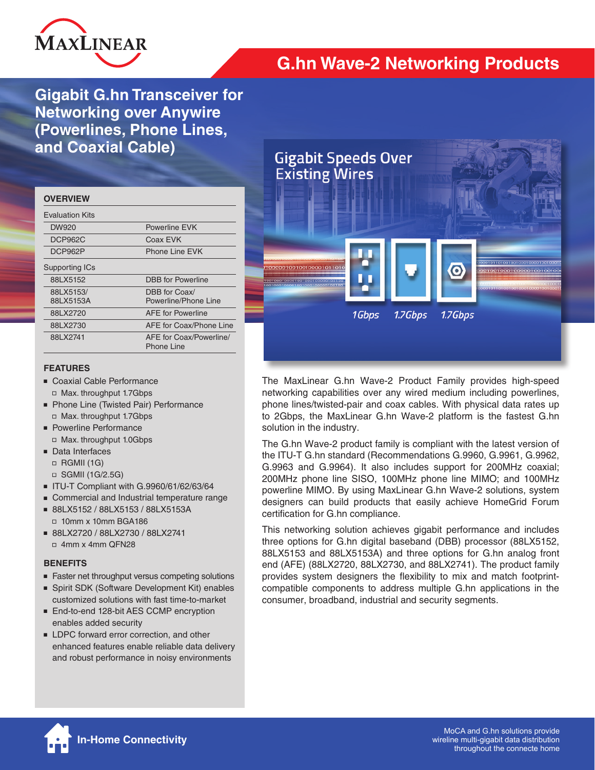

# **G.hn Wave-2 Networking Products**

**Gigabit G.hn Transceiver for Networking over Anywire (Powerlines, Phone Lines, and Coaxial Cable)**

| <b>OVERVIEW</b>        |                                       |
|------------------------|---------------------------------------|
| <b>Fvaluation Kits</b> |                                       |
| DW920                  | Powerline FVK                         |
| DCP962C                | Coax EVK                              |
| DCP962P                | Phone Line FVK                        |
| Supporting ICs         |                                       |
| 88LX5152               | <b>DBB</b> for Powerline              |
| 88LX5153/<br>88LX5153A | DBB for Coax/<br>Powerline/Phone Line |
| 88LX2720               | <b>AFF</b> for Powerline              |
| 88LX2730               | AFE for Coax/Phone Line               |
| 88LX2741               | AFE for Coax/Powerline/<br>Phone Line |

### **FEATURES**

- Coaxial Cable Performance □ Max. throughput 1.7Gbps
- Phone Line (Twisted Pair) Performance □ Max. throughput 1.7Gbps
- Powerline Performance
	- □ Max. throughput 1.0Gbps
- Data Interfaces
	- $\Box$  RGMII (1G)
	- □ SGMII (1G/2.5G)
- ITU-T Compliant with G.9960/61/62/63/64
- Commercial and Industrial temperature range
- 88LX5152 / 88LX5153 / 88LX5153A □ 10mm x 10mm BGA186
- 88LX2720 / 88LX2730 / 88LX2741 ■ 4mm x 4mm QFN28

### **BENEFITS**

- Faster net throughput versus competing solutions
- Spirit SDK (Software Development Kit) enables customized solutions with fast time-to-market
- End-to-end 128-bit AES CCMP encryption enables added security
- LDPC forward error correction, and other enhanced features enable reliable data delivery and robust performance in noisy environments



The MaxLinear G.hn Wave-2 Product Family provides high-speed networking capabilities over any wired medium including powerlines, phone lines/twisted-pair and coax cables. With physical data rates up to 2Gbps, the MaxLinear G.hn Wave-2 platform is the fastest G.hn solution in the industry.

The G.hn Wave-2 product family is compliant with the latest version of the ITU-T G.hn standard (Recommendations G.9960, G.9961, G.9962, G.9963 and G.9964). It also includes support for 200MHz coaxial; 200MHz phone line SISO, 100MHz phone line MIMO; and 100MHz powerline MIMO. By using MaxLinear G.hn Wave-2 solutions, system designers can build products that easily achieve HomeGrid Forum certification for G.hn compliance.

This networking solution achieves gigabit performance and includes three options for G.hn digital baseband (DBB) processor (88LX5152, 88LX5153 and 88LX5153A) and three options for G.hn analog front end (AFE) (88LX2720, 88LX2730, and 88LX2741). The product family provides system designers the flexibility to mix and match footprintcompatible components to address multiple G.hn applications in the consumer, broadband, industrial and security segments.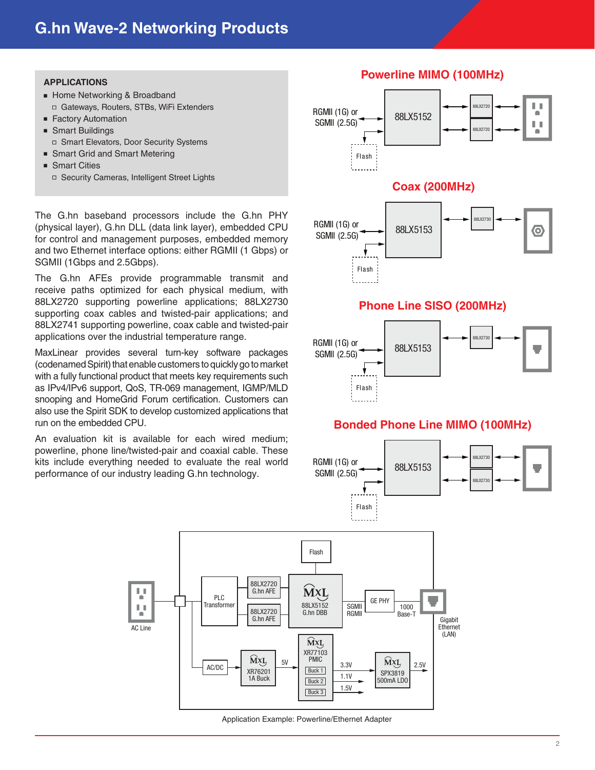### **APPLICATIONS**

- Home Networking & Broadband □ Gateways, Routers, STBs, WiFi Extenders
- Factory Automation
- Smart Buildings □ Smart Elevators, Door Security Systems
- Smart Grid and Smart Metering
- Smart Cities
	- □ Security Cameras, Intelligent Street Lights

The G.hn baseband processors include the G.hn PHY (physical layer), G.hn DLL (data link layer), embedded CPU for control and management purposes, embedded memory and two Ethernet interface options: either RGMII (1 Gbps) or SGMII (1Gbps and 2.5Gbps).

The G.hn AFEs provide programmable transmit and receive paths optimized for each physical medium, with 88LX2720 supporting powerline applications; 88LX2730 supporting coax cables and twisted-pair applications; and 88LX2741 supporting powerline, coax cable and twisted-pair applications over the industrial temperature range.

MaxLinear provides several turn-key software packages (codenamed Spirit) that enable customers to quickly go to market with a fully functional product that meets key requirements such as IPv4/IPv6 support, QoS, TR-069 management, IGMP/MLD snooping and HomeGrid Forum certification. Customers can also use the Spirit SDK to develop customized applications that run on the embedded CPU.

An evaluation kit is available for each wired medium; powerline, phone line/twisted-pair and coaxial cable. These kits include everything needed to evaluate the real world performance of our industry leading G.hn technology.



#### 88LX2720 LΕ. G.hn AFE **MXL** PLC GE PHY **Transforme** 88LX5152 Lκ SGMII 1000 88LX2720 G.hn DBB **RGMI** ٠ Base-T G.hn AFE Gigabit **Ethernet** AC Line (LAN) MXL XR77103  $\widehat{M}$ <sup>x</sup>L<sub>2</sub> PMIC  $\frac{5V}{2.5V}$   $\frac{9}{2.5V}$  3.3V  $\frac{MXL}{2.5V}$  2.5V AC/DC Buck 1 XR76201 SPX3819 1.1V 1A Buck 500mA LDO Buck 2 1.5V Buck 3

Application Example: Powerline/Ethernet Adapter

## **Powerline MIMO (100MHz)**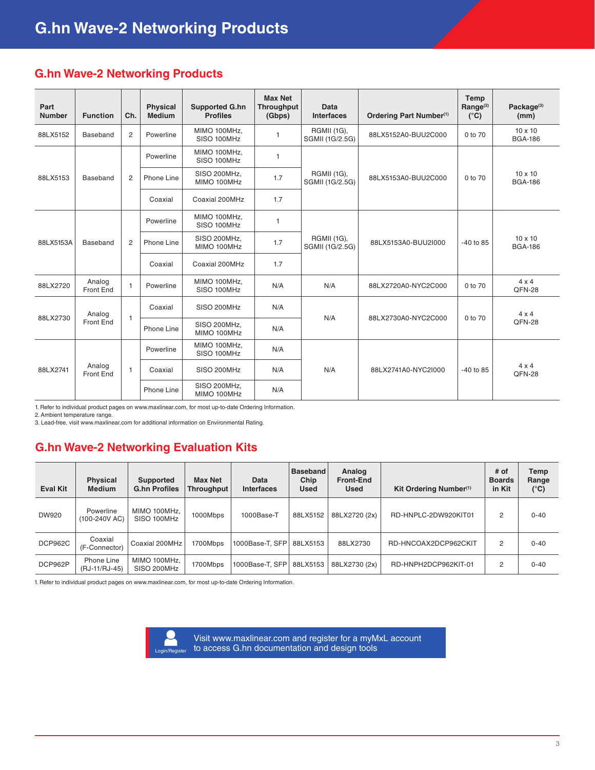## **G.hn Wave-2 Networking Products**

| Part<br><b>Number</b> | <b>Function</b>     | Ch.            | <b>Physical</b><br><b>Medium</b> | <b>Supported G.hn</b><br><b>Profiles</b> | <b>Max Net</b><br><b>Throughput</b><br>(Gbps) | Data<br><b>Interfaces</b>             | Ordering Part Number <sup>(1)</sup> | <b>Temp</b><br>Range <sup>(2)</sup><br>$(^{\circ}C)$ | Package <sup>(3)</sup><br>(mm)   |              |
|-----------------------|---------------------|----------------|----------------------------------|------------------------------------------|-----------------------------------------------|---------------------------------------|-------------------------------------|------------------------------------------------------|----------------------------------|--------------|
| 88LX5152              | Baseband            | 2              | Powerline                        | MIMO 100MHz,<br>SISO 100MHz              | 1                                             | RGMII (1G),<br>SGMII (1G/2.5G)        | 88LX5152A0-BUU2C000                 | 0 to 70                                              | $10 \times 10$<br><b>BGA-186</b> |              |
| 88LX5153              | Baseband            |                | Powerline                        | MIMO 100MHz,<br>SISO 100MHz              | 1                                             |                                       | 88LX5153A0-BUU2C000                 | 0 to 70                                              | $10 \times 10$<br><b>BGA-186</b> |              |
|                       |                     | $\overline{2}$ | Phone Line                       | SISO 200MHz,<br>MIMO 100MHz              | 1.7                                           | <b>RGMII (1G),</b><br>SGMII (1G/2.5G) |                                     |                                                      |                                  |              |
|                       |                     |                | Coaxial                          | Coaxial 200MHz                           | 1.7                                           |                                       |                                     |                                                      |                                  |              |
| 88LX5153A             | Baseband            |                | Powerline                        | MIMO 100MHz.<br>SISO 100MHz              | 1                                             |                                       | 88LX5153A0-BUU2I000                 | $-40$ to 85                                          | $10 \times 10$<br><b>BGA-186</b> |              |
|                       |                     | 2              | Phone Line                       | SISO 200MHz,<br>MIMO 100MHz              | 1.7                                           | RGMII (1G),<br>SGMII (1G/2.5G)        |                                     |                                                      |                                  |              |
|                       |                     |                | Coaxial                          | Coaxial 200MHz                           | 1.7                                           |                                       |                                     |                                                      |                                  |              |
| 88LX2720              | Analog<br>Front End | $\mathbf{1}$   | Powerline                        | MIMO 100MHz,<br>SISO 100MHz              | N/A                                           | N/A                                   | 88LX2720A0-NYC2C000                 | 0 to 70                                              | $4 \times 4$<br>QFN-28           |              |
|                       | Analog<br>Front End |                | $\mathbf{1}$                     | Coaxial                                  | SISO 200MHz                                   | N/A                                   |                                     |                                                      | 0 to 70                          | $4 \times 4$ |
| 88LX2730              |                     |                | Phone Line                       | SISO 200MHz,<br>MIMO 100MHz              | N/A                                           | N/A                                   | 88LX2730A0-NYC2C000                 |                                                      | QFN-28                           |              |
| 88LX2741              | Analog<br>Front End |                | Powerline                        | MIMO 100MHz,<br>SISO 100MHz              | N/A                                           |                                       | 88LX2741A0-NYC2I000                 | $-40$ to 85                                          | $4 \times 4$<br>QFN-28           |              |
|                       |                     | $\mathbf{1}$   | Coaxial                          | SISO 200MHz                              | N/A                                           | N/A                                   |                                     |                                                      |                                  |              |
|                       |                     |                | Phone Line                       | SISO 200MHz,<br>MIMO 100MHz              | N/A                                           |                                       |                                     |                                                      |                                  |              |

1. Refer to individual product pages on www.maxlinear.com, for most up-to-date Ordering Information.

2. Ambient temperature range.

3. Lead-free, visit www.maxlinear.com for additional information on Environmental Rating.

## **G.hn Wave-2 Networking Evaluation Kits**

| <b>Eval Kit</b> | <b>Physical</b><br><b>Medium</b> | Supported<br><b>G.hn Profiles</b> | <b>Max Net</b><br><b>Throughput</b> | Data<br><b>Interfaces</b> | <b>Baseband</b><br>Chip<br><b>Used</b> | Analog<br><b>Front-End</b><br><b>Used</b> | Kit Ordering Number <sup>(1)</sup> | # of<br><b>Boards</b><br>in Kit | Temp<br>Range<br>$(^{\circ}C)$ |
|-----------------|----------------------------------|-----------------------------------|-------------------------------------|---------------------------|----------------------------------------|-------------------------------------------|------------------------------------|---------------------------------|--------------------------------|
| DW920           | Powerline<br>(100-240V AC)       | MIMO 100MHz.<br>SISO 100MHz       | 1000Mbps                            | 1000Base-T                | 88LX5152                               | 88LX2720 (2x)                             | RD-HNPLC-2DW920KIT01               | 2                               | $0 - 40$                       |
| DCP962C         | Coaxial<br>(F-Connector)         | Coaxial 200MHz                    | 1700Mbps                            | 1000Base-T. SFP           | 88LX5153                               | 88LX2730                                  | RD-HNCOAX2DCP962CKIT               | 2                               | $0 - 40$                       |
| DCP962P         | Phone Line<br>(RJ-11/RJ-45)      | MIMO 100MHz.<br>SISO 200MHz       | 1700Mbps                            | 1000Base-T. SFP           | 88LX5153                               | 88LX2730 (2x)                             | RD-HNPH2DCP962KIT-01               | $\overline{2}$                  | $0 - 40$                       |

1. Refer to individual product pages on www.maxlinear.com, for most up-to-date Ordering Information.



[Visit www.maxlinear.com and register for a myMxL account](https://bizappsmxl.b2clogin.com/bizappsmxl.onmicrosoft.com/b2c_1_api_signupsignin/oauth2/v2.0/authorize?client_id=718db963-ba7b-41ef-9dbb-9919a8072519&redirect_uri=https%3A%2F%2Fwww.maxlinear.com%2Faccount%2Fsignincallback%2F&response_mode=form_post&response_type=code%20id_token&scope=openid%20profile%20offline_access%20https%3A%2F%2Fbizappsmxl.onmicrosoft.com%2Ftasks%2Fread%20https%3A%2F%2Fbizappsmxl.onmicrosoft.com%2Ftasks%2Fwrite&state=OpenIdConnect.AuthenticationProperties%3DvrNVoJIzjJxWyzeFSjWyoVbkLmUoruhlMP92nLpcwwBhk55amza3a1xzboy9Xk0jO8-Qyss80y2x3gjuCjHenagpv3giJC8cmE5sqntdNKZ21bn8cetkHpcadypAlcEu-DiMAejrHRyckagB92rFXwMFxn4i7e5btvLwfCAmJfLWl1l7wWDu0w3s7hIZmBzZn8Yb9xhYSprdK16IY3LtNNKfvRwjIwJhX4-1L6LTohY&nonce=637237949263558682.ZDExYzdmNWItNzE0My00ZDBkLTkwZGQtMWFiYzI2OGJlNzIwOTlmYWEyNzctNzEwZi00ZWM1LWI0OTYtODIxYjE4NjIyZTUz&x-client-SKU=ID_NET461&x-client-ver=5.5.0.0)  to access G.hn documentation and design tools